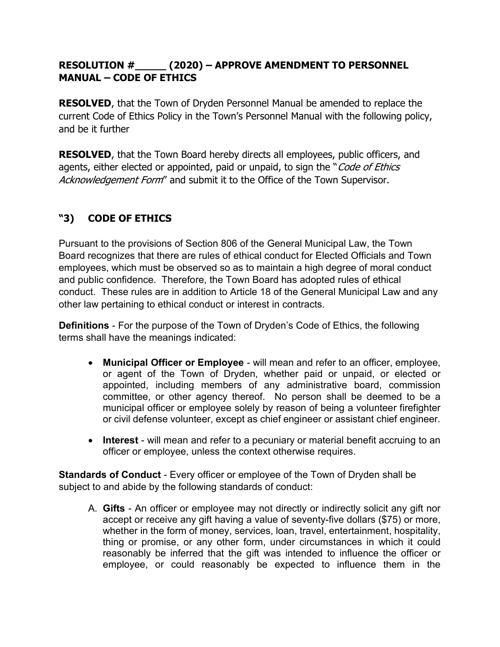## RESOLUTION #\_\_\_\_\_ (2020) – APPROVE AMENDMENT TO PERSONNEL MANUAL – CODE OF ETHICS

**RESOLVED**, that the Town of Dryden Personnel Manual be amended to replace the current Code of Ethics Policy in the Town's Personnel Manual with the following policy, and be it further

RESOLVED, that the Town Board hereby directs all employees, public officers, and agents, either elected or appointed, paid or unpaid, to sign the "Code of Ethics Acknowledgement Form" and submit it to the Office of the Town Supervisor.

## "3) CODE OF ETHICS

Pursuant to the provisions of Section 806 of the General Municipal Law, the Town Board recognizes that there are rules of ethical conduct for Elected Officials and Town employees, which must be observed so as to maintain a high degree of moral conduct and public confidence. Therefore, the Town Board has adopted rules of ethical conduct. These rules are in addition to Article 18 of the General Municipal Law and any other law pertaining to ethical conduct or interest in contracts.

Definitions - For the purpose of the Town of Dryden's Code of Ethics, the following terms shall have the meanings indicated:

- Municipal Officer or Employee will mean and refer to an officer, employee, or agent of the Town of Dryden, whether paid or unpaid, or elected or appointed, including members of any administrative board, commission committee, or other agency thereof. No person shall be deemed to be a municipal officer or employee solely by reason of being a volunteer firefighter or civil defense volunteer, except as chief engineer or assistant chief engineer.
- Interest will mean and refer to a pecuniary or material benefit accruing to an officer or employee, unless the context otherwise requires.

Standards of Conduct - Every officer or employee of the Town of Dryden shall be subject to and abide by the following standards of conduct:

A. Gifts - An officer or employee may not directly or indirectly solicit any gift nor accept or receive any gift having a value of seventy-five dollars (\$75) or more, whether in the form of money, services, loan, travel, entertainment, hospitality, thing or promise, or any other form, under circumstances in which it could reasonably be inferred that the gift was intended to influence the officer or employee, or could reasonably be expected to influence them in the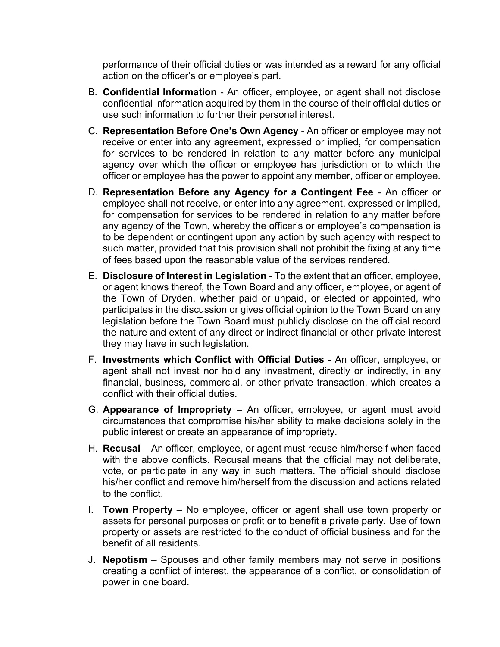performance of their official duties or was intended as a reward for any official action on the officer's or employee's part.

- B. Confidential Information An officer, employee, or agent shall not disclose confidential information acquired by them in the course of their official duties or use such information to further their personal interest.
- C. Representation Before One's Own Agency An officer or employee may not receive or enter into any agreement, expressed or implied, for compensation for services to be rendered in relation to any matter before any municipal agency over which the officer or employee has jurisdiction or to which the officer or employee has the power to appoint any member, officer or employee.
- D. Representation Before any Agency for a Contingent Fee An officer or employee shall not receive, or enter into any agreement, expressed or implied, for compensation for services to be rendered in relation to any matter before any agency of the Town, whereby the officer's or employee's compensation is to be dependent or contingent upon any action by such agency with respect to such matter, provided that this provision shall not prohibit the fixing at any time of fees based upon the reasonable value of the services rendered.
- E. Disclosure of Interest in Legislation To the extent that an officer, employee, or agent knows thereof, the Town Board and any officer, employee, or agent of the Town of Dryden, whether paid or unpaid, or elected or appointed, who participates in the discussion or gives official opinion to the Town Board on any legislation before the Town Board must publicly disclose on the official record the nature and extent of any direct or indirect financial or other private interest they may have in such legislation.
- F. Investments which Conflict with Official Duties An officer, employee, or agent shall not invest nor hold any investment, directly or indirectly, in any financial, business, commercial, or other private transaction, which creates a conflict with their official duties.
- G. Appearance of Impropriety  $-$  An officer, employee, or agent must avoid circumstances that compromise his/her ability to make decisions solely in the public interest or create an appearance of impropriety.
- H. Recusal An officer, employee, or agent must recuse him/herself when faced with the above conflicts. Recusal means that the official may not deliberate, vote, or participate in any way in such matters. The official should disclose his/her conflict and remove him/herself from the discussion and actions related to the conflict.
- I. Town Property No employee, officer or agent shall use town property or assets for personal purposes or profit or to benefit a private party. Use of town property or assets are restricted to the conduct of official business and for the benefit of all residents.
- J. Nepotism Spouses and other family members may not serve in positions creating a conflict of interest, the appearance of a conflict, or consolidation of power in one board.